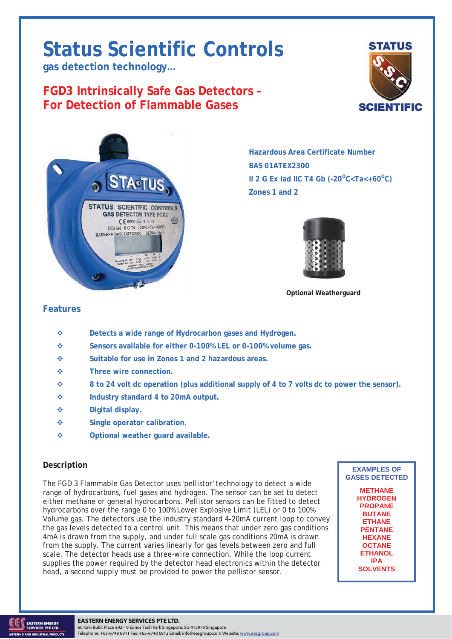# **Status Scientific Controls**

**gas detection technology…** 

# **FGD3 Intrinsically Safe Gas Detectors – For Detection of Flammable Gases**





**Hazardous Area Certificate Number BAS 01ATEX2300 II 2 G Ex iad IIC T4 Gb (-20<sup>o</sup>C<Ta<+60<sup>o</sup>C) Zones 1 and 2** 



**Optional Weatherguard** 

# **Features**

- **Detects a wide range of Hydrocarbon gases and Hydrogen.**
- **Sensors available for either 0-100% LEL or 0-100% volume gas.**
- **Suitable for use in Zones 1 and 2 hazardous areas.**
- **Three wire connection.**
- **8 to 24 volt dc operation (plus additional supply of 4 to 7 volts dc to power the sensor).**
- **Industry standard 4 to 20mA output.**
- **Digital display.**
- **Single operator calibration.**
- **Optional weather guard available.**

### **Description**

The FGD 3 Flammable Gas Detector uses 'pellistor' technology to detect a wide range of hydrocarbons, fuel gases and hydrogen. The sensor can be set to detect either methane or general hydrocarbons. Pellistor sensors can be fitted to detect hydrocarbons over the range 0 to 100% Lower Explosive Limit (LEL) or 0 to 100% Volume gas. The detectors use the industry standard 4-20mA current loop to convey the gas levels detected to a control unit. This means that under zero gas conditions 4mA is drawn from the supply, and under full scale gas conditions 20mA is drawn from the supply. The current varies linearly for gas levels between zero and full scale. The detector heads use a three-wire connection. While the loop current supplies the power required by the detector head electronics within the detector head, a second supply must be provided to power the pellistor sensor.

**EXAMPLES OF GASES DETECTED** 

> **METHANE HYDROGEN PROPANE BUTANE ETHANE PENTANE HEXANE OCTANE ETHANOL IPA SOLVENTS**

# TD06/123 Issue 6 12.10.12. Change Note: 1788 Page 1 **EASTERN ENERGY SERVICES PTE LTD.**

60 Kaki Bukit Place #02-19 Eunos Tech Park Singapore, SG 415979 Singapore Telephone: +65-6748 6911 Fax: +65-6748 6912 Email: info@eesgroup.com Website: www.eesgroup.com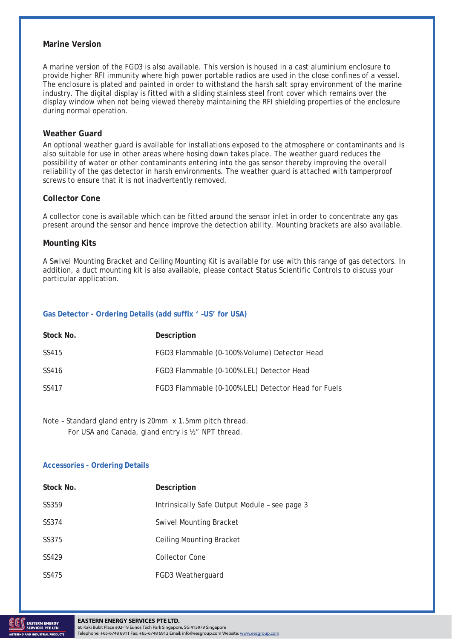#### **Marine Version**

A marine version of the FGD3 is also available. This version is housed in a cast aluminium enclosure to provide higher RFI immunity where high power portable radios are used in the close confines of a vessel. The enclosure is plated and painted in order to withstand the harsh salt spray environment of the marine industry. The digital display is fitted with a sliding stainless steel front cover which remains over the display window when not being viewed thereby maintaining the RFI shielding properties of the enclosure during normal operation.

#### **Weather Guard**

An optional weather guard is available for installations exposed to the atmosphere or contaminants and is also suitable for use in other areas where hosing down takes place. The weather guard reduces the possibility of water or other contaminants entering into the gas sensor thereby improving the overall reliability of the gas detector in harsh environments. The weather guard is attached with tamperproof screws to ensure that it is not inadvertently removed.

#### **Collector Cone**

A collector cone is available which can be fitted around the sensor inlet in order to concentrate any gas present around the sensor and hence improve the detection ability. Mounting brackets are also available.

#### **Mounting Kits**

A Swivel Mounting Bracket and Ceiling Mounting Kit is available for use with this range of gas detectors. In addition, a duct mounting kit is also available, please contact Status Scientific Controls to discuss your particular application.

#### **Gas Detector - Ordering Details (add suffix ' –US' for USA)**

| Stock No. | Description                                         |
|-----------|-----------------------------------------------------|
| SS415     | FGD3 Flammable (0-100% Volume) Detector Head        |
| SS416     | FGD3 Flammable (0-100% LEL) Detector Head           |
| SS417     | FGD3 Flammable (0-100% LEL) Detector Head for Fuels |

Note – Standard gland entry is 20mm x 1.5mm pitch thread. For USA and Canada, gland entry is ½" NPT thread.

#### **Accessories - Ordering Details**

| Stock No. | Description                                   |
|-----------|-----------------------------------------------|
| SS359     | Intrinsically Safe Output Module - see page 3 |
| SS374     | <b>Swivel Mounting Bracket</b>                |
| SS375     | Ceiling Mounting Bracket                      |
| SS429     | Collector Cone                                |
| SS475     | FGD3 Weatherguard                             |

# THE STREET STATE SERVICES PTE LTD. THE STATE OF THE STATE SERVICE SERVICES PTE LTD.

60 Kaki Bukit Place #02-19 Eunos Tech Park Singapore, SG 415979 Singapore Telephone: +65-6748 6911 Fax: +65-6748 6912 Email: info@eesgroup.com Website: www.eesgroup.com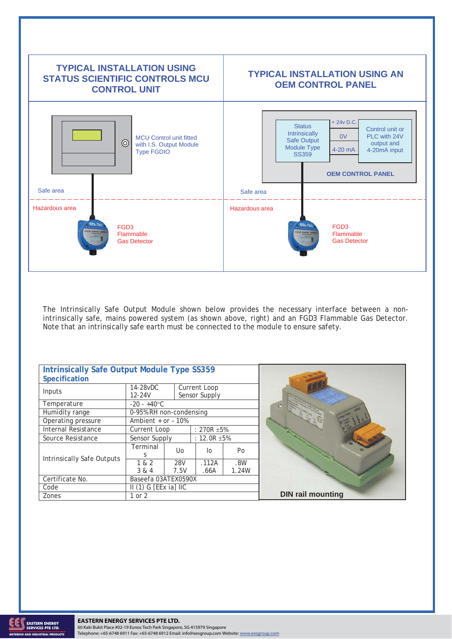

The Intrinsically Safe Output Module shown below provides the necessary interface between a nonintrinsically safe, mains powered system (as shown above, right) and an FGD3 Flammable Gas Detector. Note that an intrinsically safe earth must be connected to the module to ensure safety.

| <b>Intrinsically Safe Output Module Type SS359</b><br><b>Specification</b> |                           |      |                               |       |                          |
|----------------------------------------------------------------------------|---------------------------|------|-------------------------------|-------|--------------------------|
| Inputs                                                                     | 14-28vDC<br>$12 - 24V$    |      | Current Loop<br>Sensor Supply |       |                          |
| Temperature                                                                | $-20 - +40$ °C            |      |                               |       |                          |
| Humidity range                                                             | 0-95% RH non-condensing   |      |                               |       |                          |
| Operating pressure                                                         | Ambient $+$ or $-10%$     |      |                               |       |                          |
| <b>Internal Resistance</b>                                                 | Current Loop              |      | : 270R $\pm$ 5%               |       |                          |
| Source Resistance                                                          | Sensor Supply             |      | : $12.0R + 5%$                |       |                          |
| Intrinsically Safe Outputs                                                 | Terminal                  | Uo.  | lo                            | Po    |                          |
|                                                                            |                           |      |                               |       |                          |
|                                                                            | 1 & 2                     | 28V  | .112A                         | .8W   |                          |
|                                                                            | 3 & 4                     | 7.5V | .66A                          | 1.24W |                          |
| Certificate No.                                                            | Baseefa 03ATEX0590X       |      |                               |       |                          |
| Code                                                                       | $II(1)$ G [EEx ia] $II$ C |      |                               |       |                          |
| Zones                                                                      | 1 or 2                    |      |                               |       | <b>DIN rail mounting</b> |

**AND INDUSTRIAL PRODUCTS** 

THE STREET STATE SERVICES PTE LTD. THE STATE 1788 PAGE 3 AND 1788 PAGE 3 AND 1788 PAGE 3 AND 1788 PAGE 3 AND 1788 PAGE 3 AND 1788 PAGE 3 AND 1788 PAGE 3 AND 1788 PAGE 3 AND 1788 PAGE 3 AND 1788 PAGE 3 AND 1788 PAGE 3 AND 1 60 Kaki Bukit Place #02-19 Eunos Tech Park Singapore, SG 415979 Singapore Telephone: +65-6748 6911 Fax: +65-6748 6912 Email: info@eesgroup.com Website: www.eesgroup.com